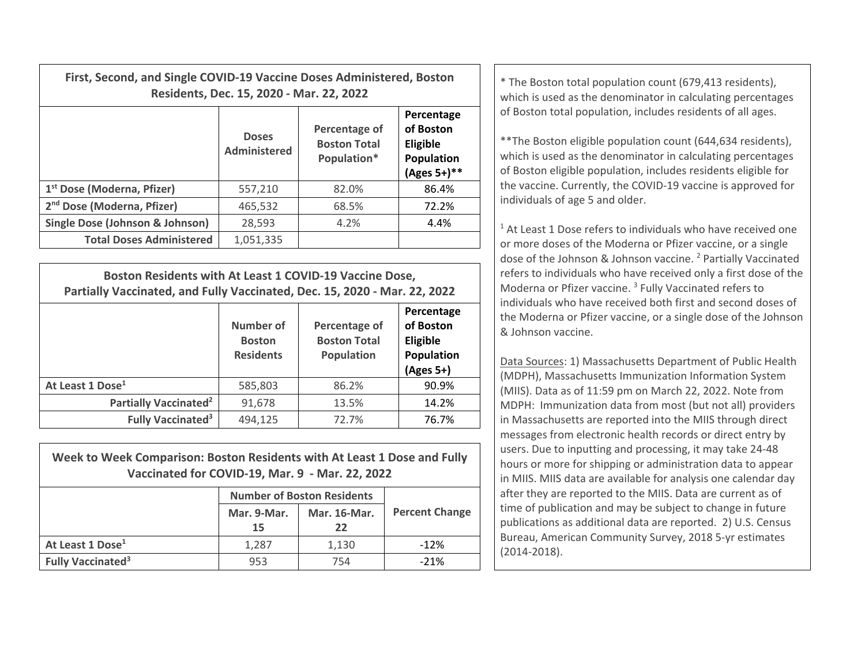| First, Second, and Single COVID-19 Vaccine Doses Administered, Boston<br>Residents, Dec. 15, 2020 - Mar. 22, 2022 |                              |                                                     |                                                                            | * The Boston total population count (679,413 residents),<br>which is used as the denominator in calculating percentages                                                                                                                                      |
|-------------------------------------------------------------------------------------------------------------------|------------------------------|-----------------------------------------------------|----------------------------------------------------------------------------|--------------------------------------------------------------------------------------------------------------------------------------------------------------------------------------------------------------------------------------------------------------|
|                                                                                                                   | <b>Doses</b><br>Administered | Percentage of<br><b>Boston Total</b><br>Population* | Percentage<br>of Boston<br><b>Eligible</b><br>Population<br>$(Ages 5+)$ ** | of Boston total population, includes residents of all ages.<br>** The Boston eligible population count (644,634 residents),<br>which is used as the denominator in calculating percentages<br>of Boston eligible population, includes residents eligible for |
| 1 <sup>st</sup> Dose (Moderna, Pfizer)                                                                            | 557,210                      | 82.0%                                               | 86.4%                                                                      | the vaccine. Currently, the COVID-19 vaccine is approved for                                                                                                                                                                                                 |
| 2 <sup>nd</sup> Dose (Moderna, Pfizer)                                                                            | 465,532                      | 68.5%                                               | 72.2%                                                                      | individuals of age 5 and older.                                                                                                                                                                                                                              |
| Single Dose (Johnson & Johnson)                                                                                   | 28,593                       | 4.2%                                                | 4.4%                                                                       | <sup>1</sup> At Least 1 Dose refers to individuals who have received on                                                                                                                                                                                      |
| <b>Total Doses Administered</b>                                                                                   | 1,051,335                    |                                                     |                                                                            | or more doses of the Moderna or Pfizer vaccine, or a single                                                                                                                                                                                                  |

| Boston Residents with At Least 1 COVID-19 Vaccine Dose,<br>Partially Vaccinated, and Fully Vaccinated, Dec. 15, 2020 - Mar. 22, 2022 |                                                       |                                                           |                                                                  |  |  |
|--------------------------------------------------------------------------------------------------------------------------------------|-------------------------------------------------------|-----------------------------------------------------------|------------------------------------------------------------------|--|--|
|                                                                                                                                      | <b>Number of</b><br><b>Boston</b><br><b>Residents</b> | Percentage of<br><b>Boston Total</b><br><b>Population</b> | Percentage<br>of Boston<br>Eligible<br>Population<br>$(Ages 5+)$ |  |  |
| At Least 1 Dose <sup>1</sup>                                                                                                         | 585,803                                               | 86.2%                                                     | 90.9%                                                            |  |  |
| Partially Vaccinated <sup>2</sup>                                                                                                    | 91,678                                                | 13.5%                                                     | 14.2%                                                            |  |  |
| <b>Fully Vaccinated<sup>3</sup></b>                                                                                                  | 494,125                                               | 72.7%                                                     | 76.7%                                                            |  |  |

| Week to Week Comparison: Boston Residents with At Least 1 Dose and Fully<br>Vaccinated for COVID-19, Mar. 9 - Mar. 22, 2022 |                                   |              |                       |  |  |  |
|-----------------------------------------------------------------------------------------------------------------------------|-----------------------------------|--------------|-----------------------|--|--|--|
|                                                                                                                             | <b>Number of Boston Residents</b> |              |                       |  |  |  |
|                                                                                                                             | Mar. 9-Mar.                       | Mar. 16-Mar. | <b>Percent Change</b> |  |  |  |
|                                                                                                                             | 15                                | 22           |                       |  |  |  |
| At Least 1 Dose <sup>1</sup>                                                                                                | 1.287                             | 1,130        | $-12%$                |  |  |  |
| <b>Fully Vaccinated<sup>3</sup></b>                                                                                         | 953                               | 754          | $-21%$                |  |  |  |

 $1$  At Least 1 Dose refers to individuals who have received one or more doses of the Moderna or Pfizer vaccine, or <sup>a</sup> single dose of the Johnson & Johnson vaccine. <sup>2</sup> Partially Vaccinated refers to individuals who have received only <sup>a</sup> first dose of the Moderna or Pfizer vaccine. <sup>3</sup> Fully Vaccinated refers to individuals who have received both first and second doses of the Moderna or Pfizer vaccine, or <sup>a</sup> single dose of the Johnson & Johnson vaccine.

Data Sources: 1) Massachusetts Department of Public Health (MDPH), Massachusetts Immunization Information System (MIIS). Data as of 11:59 pm on March 22, 2022. Note from MDPH: Immunization data from most (but not all) providers in Massachusetts are reported into the MIIS through direct messages from electronic health records or direct entry by users. Due to inputting and processing, it may take 24‐48 hours or more for shipping or administration data to appear in MIIS. MIIS data are available for analysis one calendar day after they are reported to the MIIS. Data are current as of time of publication and may be subject to change in future publications as additional data are reported. 2) U.S. Census Bureau, American Community Survey, 2018 5‐yr estimates (2014‐2018).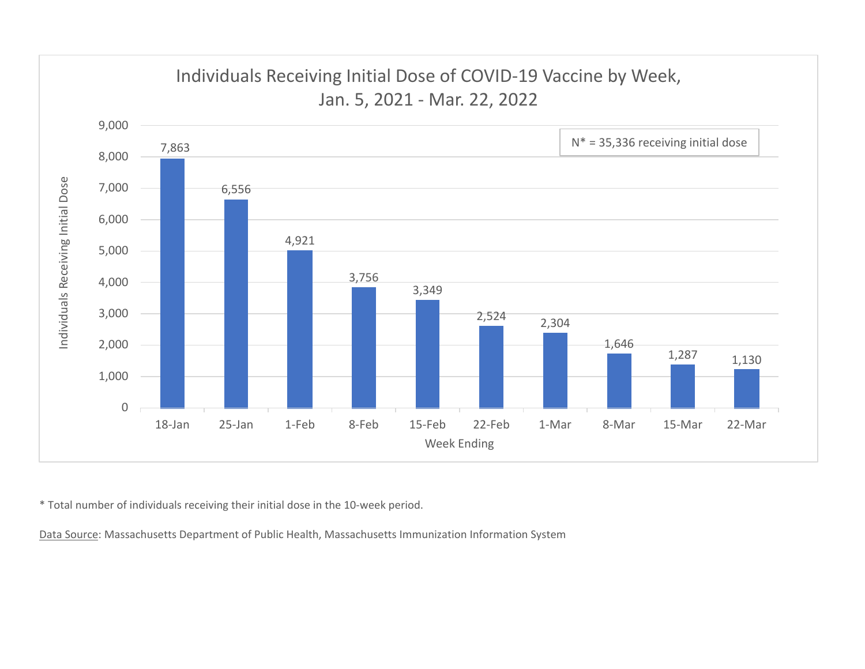

\* Total number of individuals receiving their initial dose in the 10‐week period.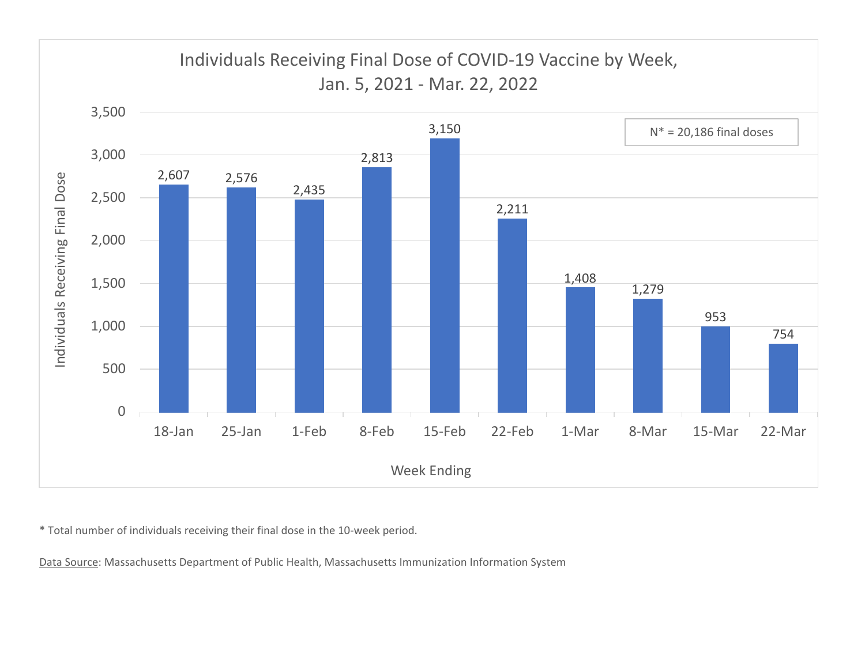

\* Total number of individuals receiving their final dose in the 10‐week period.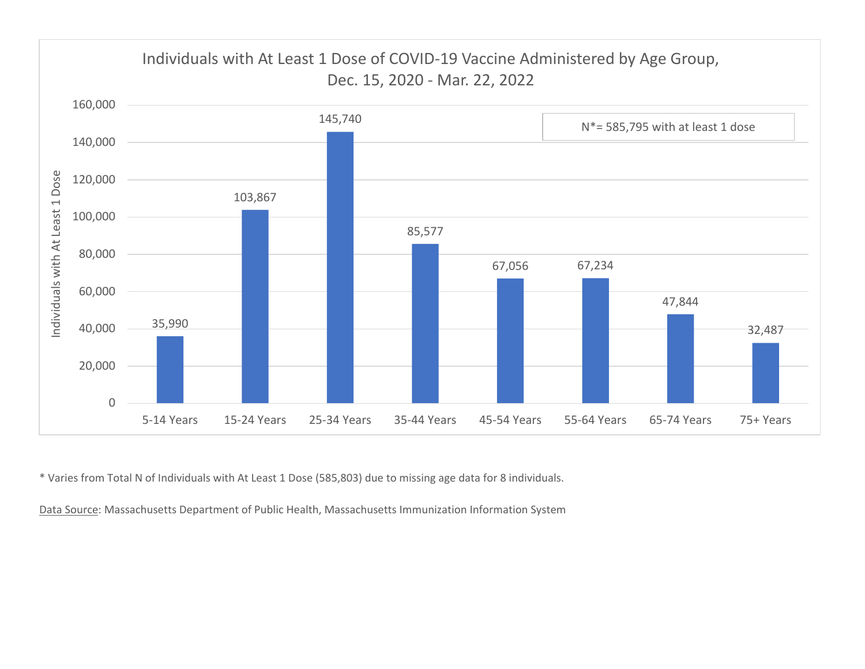

\* Varies from Total N of Individuals with At Least 1 Dose (585,803) due to missing age data for 8 individuals.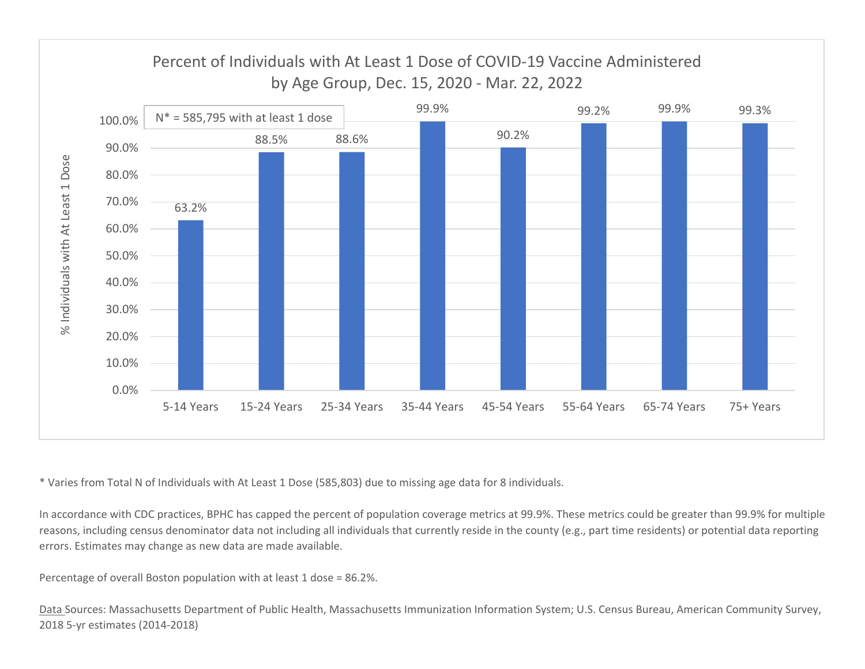

\* Varies from Total N of Individuals with At Least 1 Dose (585,803) due to missing age data for 8 individuals.

In accordance with CDC practices, BPHC has capped the percent of population coverage metrics at 99.9%. These metrics could be greater than 99.9% for multiple reasons, including census denominator data not including all individuals that currently reside in the county (e.g., part time residents) or potential data reporting errors. Estimates may change as new data are made available.

Percentage of overall Boston population with at least 1 dose <sup>=</sup> 86.2%.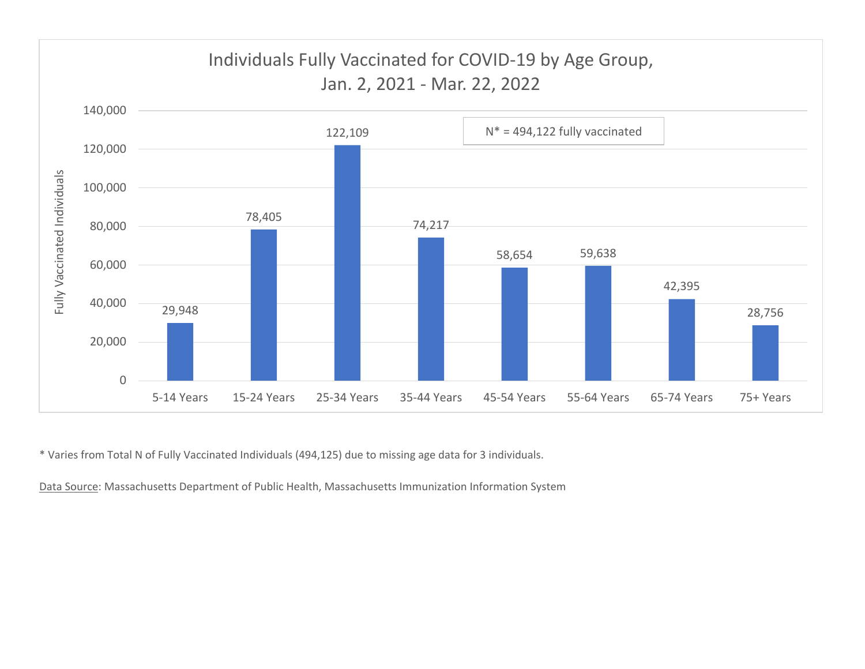

\* Varies from Total N of Fully Vaccinated Individuals (494,125) due to missing age data for 3 individuals.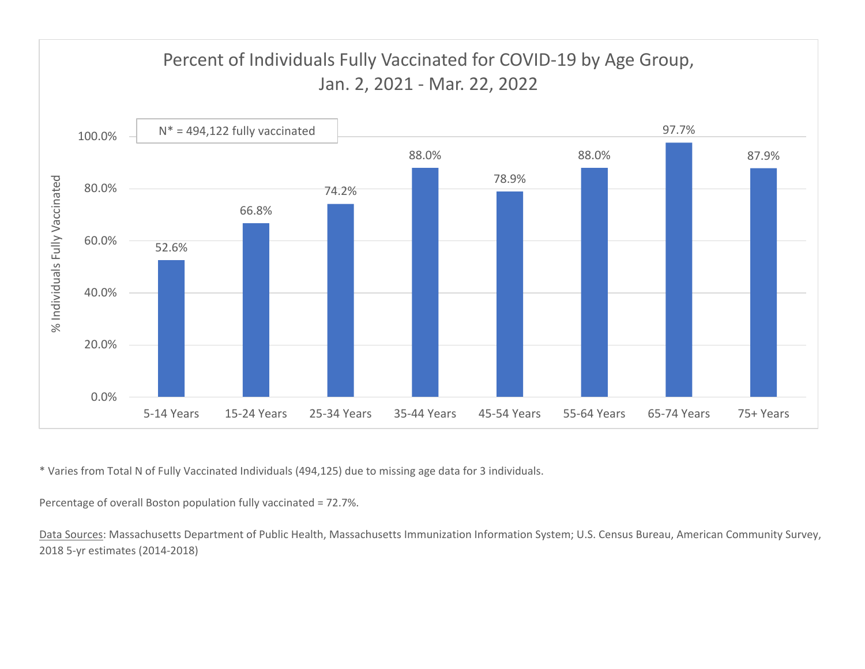

\* Varies from Total N of Fully Vaccinated Individuals (494,125) due to missing age data for 3 individuals.

Percentage of overall Boston population fully vaccinated <sup>=</sup> 72.7%.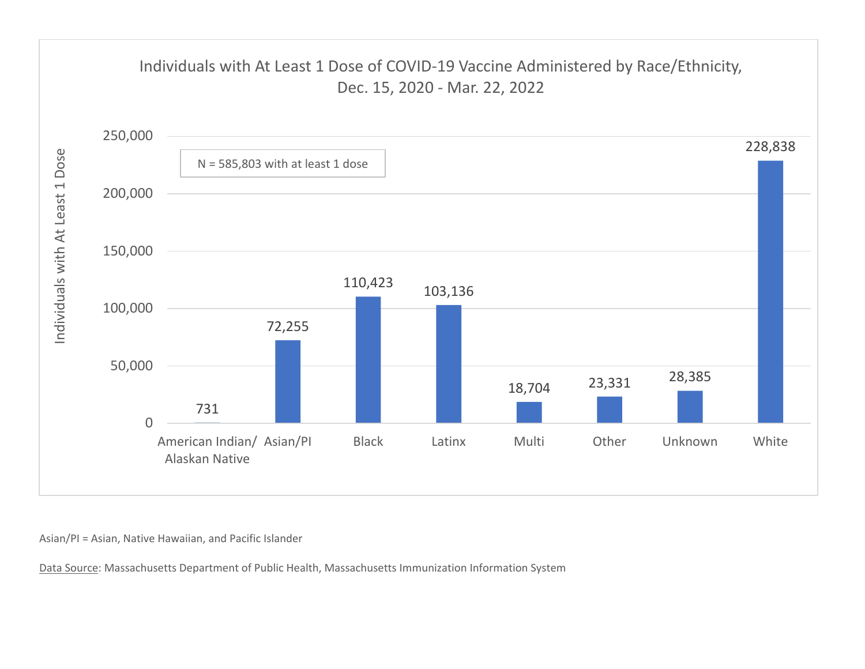

Asian/PI <sup>=</sup> Asian, Native Hawaiian, and Pacific Islander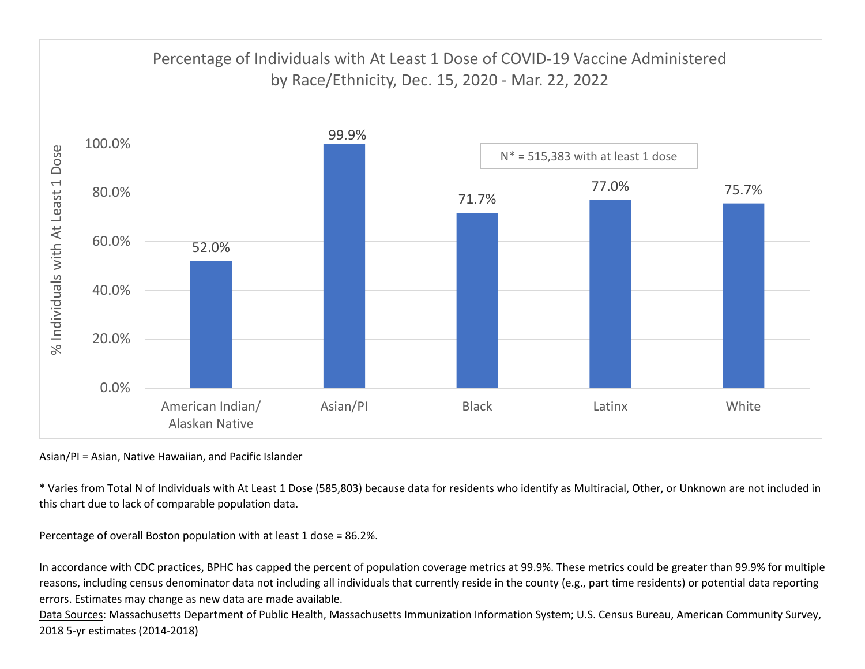

Asian/PI <sup>=</sup> Asian, Native Hawaiian, and Pacific Islander

\* Varies from Total N of Individuals with At Least 1 Dose (585,803) because data for residents who identify as Multiracial, Other, or Unknown are not included in this chart due to lack of comparable population data.

Percentage of overall Boston population with at least 1 dose <sup>=</sup> 86.2%.

In accordance with CDC practices, BPHC has capped the percent of population coverage metrics at 99.9%. These metrics could be greater than 99.9% for multiple reasons, including census denominator data not including all individuals that currently reside in the county (e.g., part time residents) or potential data reporting errors. Estimates may change as new data are made available.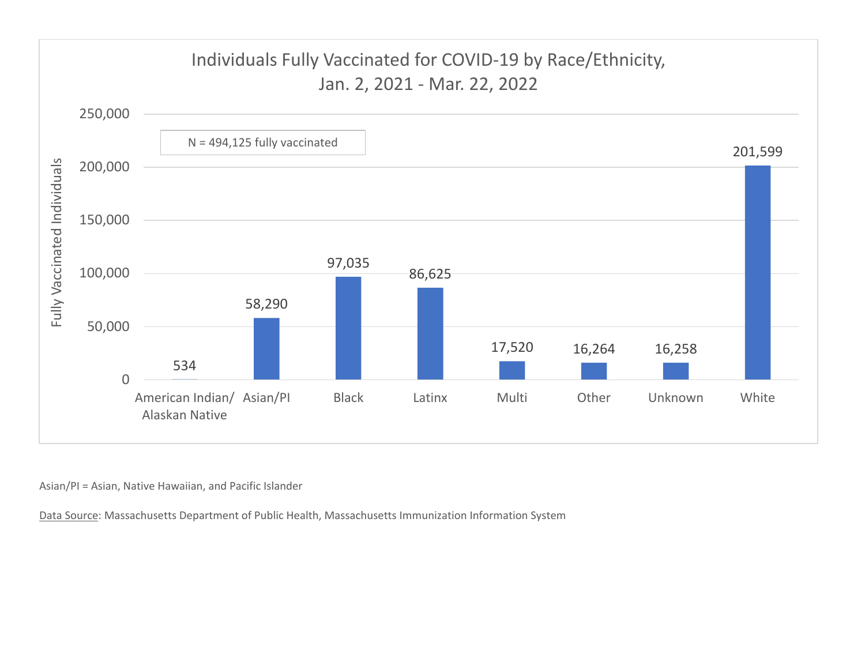

Asian/PI <sup>=</sup> Asian, Native Hawaiian, and Pacific Islander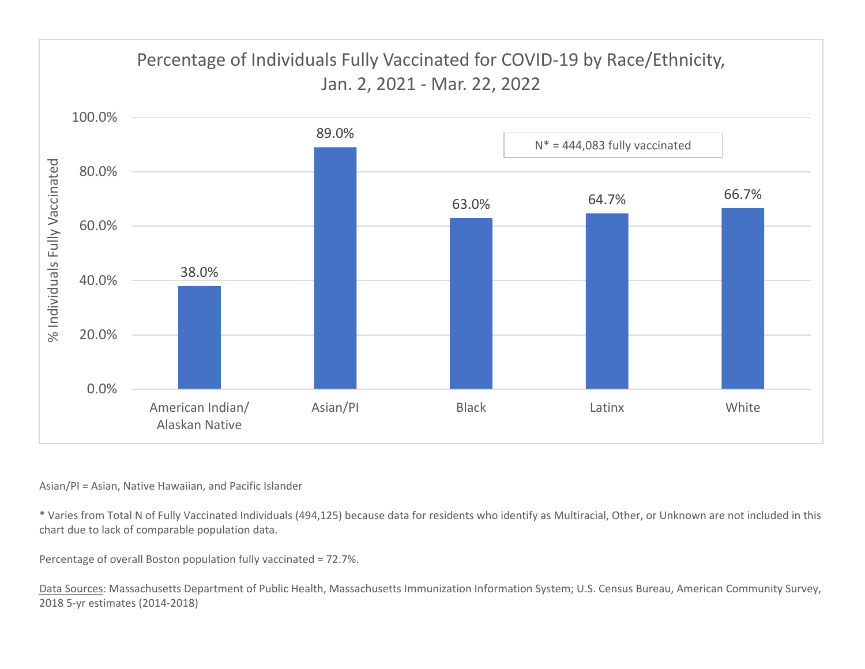

## Asian/PI <sup>=</sup> Asian, Native Hawaiian, and Pacific Islander

\* Varies from Total N of Fully Vaccinated Individuals (494,125) because data for residents who identify as Multiracial, Other, or Unknown are not included in this chart due to lack of comparable population data.

Percentage of overall Boston population fully vaccinated <sup>=</sup> 72.7%.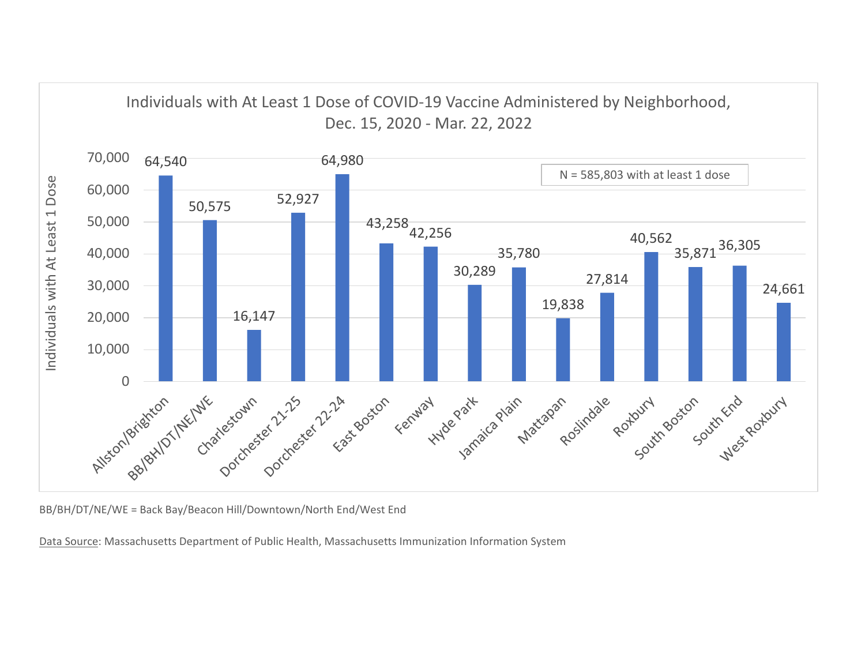

BB/BH/DT/NE/WE <sup>=</sup> Back Bay/Beacon Hill/Downtown/North End/West End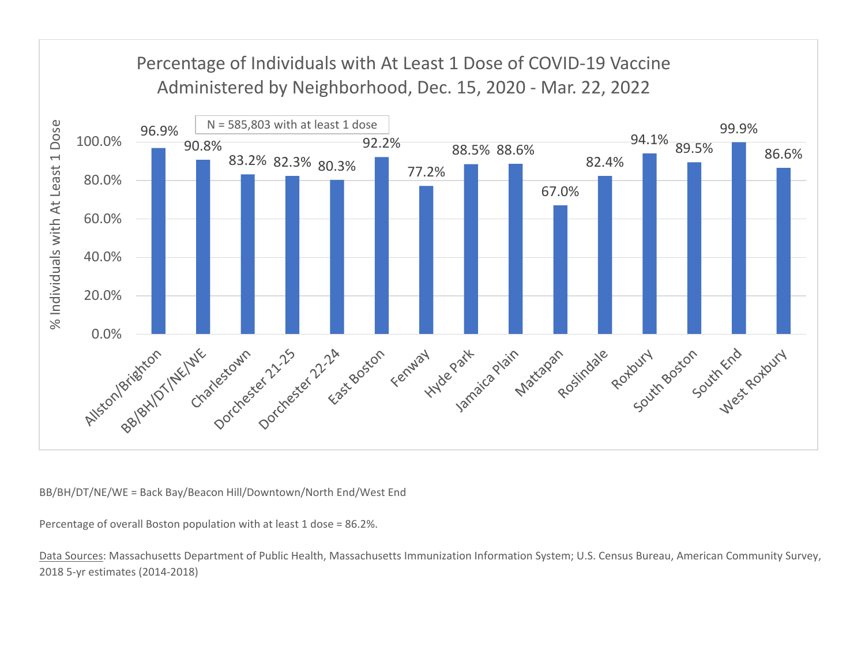

BB/BH/DT/NE/WE <sup>=</sup> Back Bay/Beacon Hill/Downtown/North End/West End

Percentage of overall Boston population with at least 1 dose <sup>=</sup> 86.2%.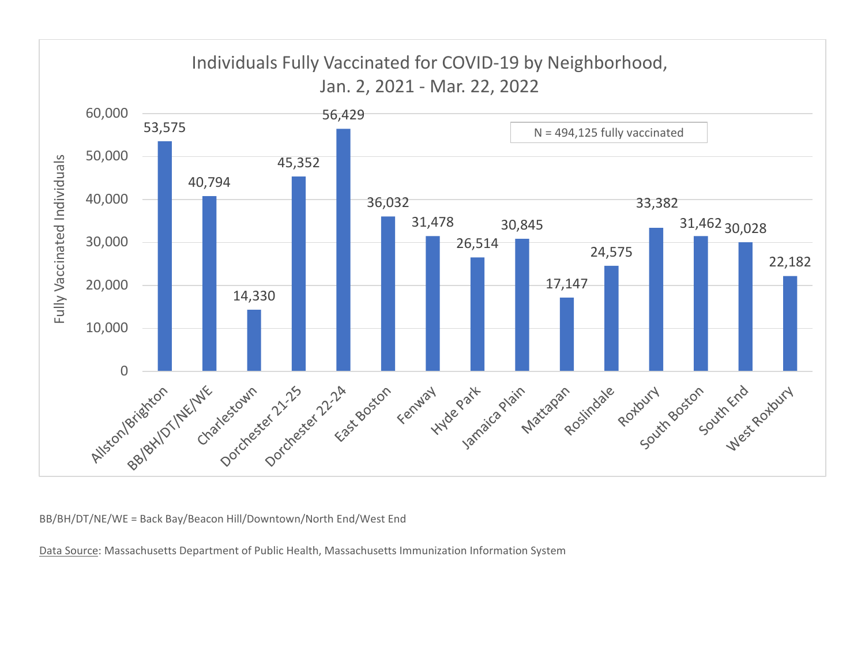

BB/BH/DT/NE/WE <sup>=</sup> Back Bay/Beacon Hill/Downtown/North End/West End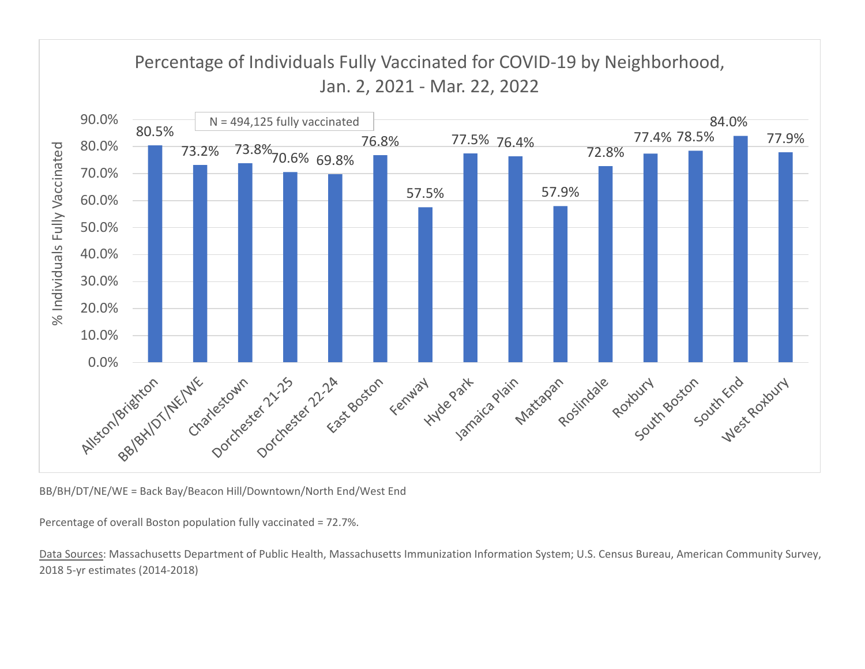

BB/BH/DT/NE/WE <sup>=</sup> Back Bay/Beacon Hill/Downtown/North End/West End

Percentage of overall Boston population fully vaccinated <sup>=</sup> 72.7%.